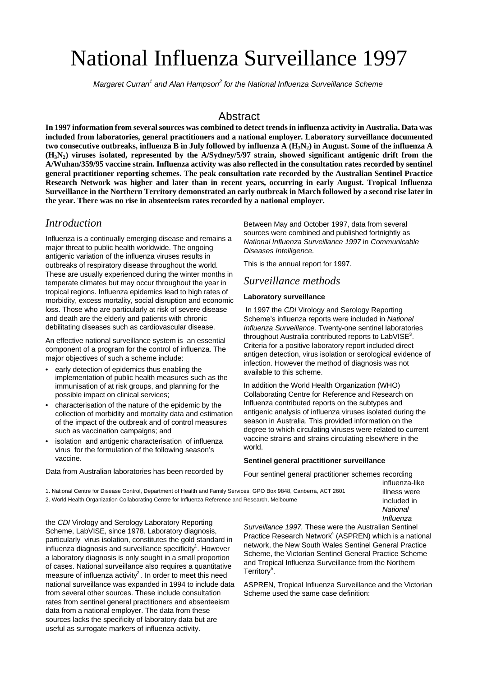# National Influenza Surveillance 1997

Margaret Curran<sup>1</sup> and Alan Hampson<sup>2</sup> for the National Influenza Surveillance Scheme

# **Abstract**

**In 1997 information from several sources was combined to detect trends in influenza activity in Australia. Data was included from laboratories, general practitioners and a national employer. Laboratory surveillance documented two consecutive outbreaks, influenza B in July followed by influenza A (H3N2) in August. Some of the influenza A (H3N2) viruses isolated, represented by the A/Sydney/5/97 strain, showed significant antigenic drift from the A/Wuhan/359/95 vaccine strain. Influenza activity was also reflected in the consultation rates recorded by sentinel general practitioner reporting schemes. The peak consultation rate recorded by the Australian Sentinel Practice Research Network was higher and later than in recent years, occurring in early August. Tropical Influenza Surveillance in the Northern Territory demonstrated an early outbreak in March followed by a second rise later in the year. There was no rise in absenteeism rates recorded by a national employer.**

# *Introduction*

Influenza is a continually emerging disease and remains a major threat to public health worldwide. The ongoing antigenic variation of the influenza viruses results in outbreaks of respiratory disease throughout the world. These are usually experienced during the winter months in temperate climates but may occur throughout the year in tropical regions. Influenza epidemics lead to high rates of morbidity, excess mortality, social disruption and economic loss. Those who are particularly at risk of severe disease and death are the elderly and patients with chronic debilitating diseases such as cardiovascular disease.

An effective national surveillance system is an essential component of a program for the control of influenza. The major objectives of such a scheme include:

- early detection of epidemics thus enabling the implementation of public health measures such as the immunisation of at risk groups, and planning for the possible impact on clinical services;
- characterisation of the nature of the epidemic by the collection of morbidity and mortality data and estimation of the impact of the outbreak and of control measures such as vaccination campaigns; and
- isolation and antigenic characterisation of influenza virus for the formulation of the following season's vaccine.

Data from Australian laboratories has been recorded by

Between May and October 1997, data from several sources were combined and published fortnightly as *National Influenza Surveillance 1997* in *Communicable Diseases Intelligence*.

This is the annual report for 1997.

## *Surveillance methods*

#### **Laboratory surveillance**

 In 1997 the *CDI* Virology and Serology Reporting Scheme's influenza reports were included in *National Influenza Surveillance.* Twenty-one sentinel laboratories throughout Australia contributed reports to LabVISE<sup>3</sup>. Criteria for a positive laboratory report included direct antigen detection, virus isolation or serological evidence of infection. However the method of diagnosis was not available to this scheme.

In addition the World Health Organization (WHO) Collaborating Centre for Reference and Research on Influenza contributed reports on the subtypes and antigenic analysis of influenza viruses isolated during the season in Australia. This provided information on the degree to which circulating viruses were related to current vaccine strains and strains circulating elsewhere in the world.

#### **Sentinel general practitioner surveillance**

Four sentinel general practitioner schemes recording influenza-like

1. National Centre for Disease Control, Department of Health and Family Services, GPO Box 9848, Canberra, ACT 2601 2. World Health Organization Collaborating Centre for Influenza Reference and Research, Melbourne

the *CDI* Virology and Serology Laboratory Reporting Scheme, LabVISE, since 1978. Laboratory diagnosis, particularly virus isolation, constitutes the gold standard in influenza diagnosis and surveillance specificity<sup>1</sup>. However a laboratory diagnosis is only sought in a small proportion of cases. National surveillance also requires a quantitative measure of influenza activity<sup>2</sup>. In order to meet this need national surveillance was expanded in 1994 to include data from several other sources. These include consultation rates from sentinel general practitioners and absenteeism data from a national employer. The data from these sources lacks the specificity of laboratory data but are useful as surrogate markers of influenza activity.

*Surveillance 1997.* These were the Australian Sentinel Practice Research Network<sup>4</sup> (ASPREN) which is a national network, the New South Wales Sentinel General Practice Scheme, the Victorian Sentinel General Practice Scheme and Tropical Influenza Surveillance from the Northern Territory<sup>5</sup>.

illness were included in *National Influenza*

ASPREN, Tropical Influenza Surveillance and the Victorian Scheme used the same case definition: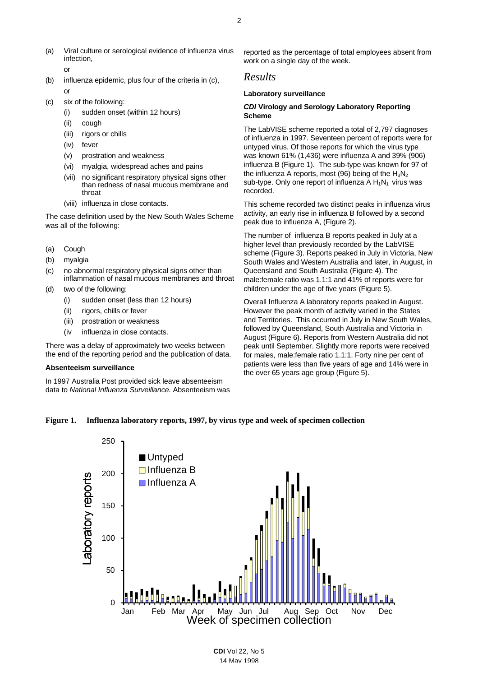- (a) Viral culture or serological evidence of influenza virus infection, or
- (b) influenza epidemic, plus four of the criteria in (c), or
- (c) six of the following:
	- (i) sudden onset (within 12 hours)
	- (ii) cough
	- (iii) rigors or chills
	- (iv) fever
	- (v) prostration and weakness
	- (vi) myalgia, widespread aches and pains
	- (vii) no significant respiratory physical signs other than redness of nasal mucous membrane and throat
	- (viii) influenza in close contacts.

The case definition used by the New South Wales Scheme was all of the following:

- (a) Cough
- (b) myalgia
- (c) no abnormal respiratory physical signs other than inflammation of nasal mucous membranes and throat
- (d) two of the following:
	- (i) sudden onset (less than 12 hours)
	- (ii) rigors, chills or fever
	- (iii) prostration or weakness
	- (iv influenza in close contacts.

There was a delay of approximately two weeks between the end of the reporting period and the publication of data.

#### **Absenteeism surveillance**

In 1997 Australia Post provided sick leave absenteeism data to *National Influenza Surveillance.* Absenteeism was reported as the percentage of total employees absent from work on a single day of the week.

## *Results*

#### **Laboratory surveillance**

#### *CDI* **Virology and Serology Laboratory Reporting Scheme**

The LabVISE scheme reported a total of 2,797 diagnoses of influenza in 1997. Seventeen percent of reports were for untyped virus. Of those reports for which the virus type was known 61% (1,436) were influenza A and 39% (906) influenza B (Figure 1). The sub-type was known for 97 of the influenza A reports, most (96) being of the  $H_3N_2$ sub-type. Only one report of influenza  $AH_1N_1$  virus was recorded.

This scheme recorded two distinct peaks in influenza virus activity, an early rise in influenza B followed by a second peak due to influenza A, (Figure 2).

The number of influenza B reports peaked in July at a higher level than previously recorded by the LabVISE scheme (Figure 3). Reports peaked in July in Victoria, New South Wales and Western Australia and later, in August, in Queensland and South Australia (Figure 4). The male:female ratio was 1.1:1 and 41% of reports were for children under the age of five years (Figure 5).

Overall Influenza A laboratory reports peaked in August. However the peak month of activity varied in the States and Territories. This occurred in July in New South Wales, followed by Queensland, South Australia and Victoria in August (Figure 6). Reports from Western Australia did not peak until September. Slightly more reports were received for males, male:female ratio 1.1:1. Forty nine per cent of patients were less than five years of age and 14% were in the over 65 years age group (Figure 5).

#### **Figure 1. Influenza laboratory reports, 1997, by virus type and week of specimen collection**

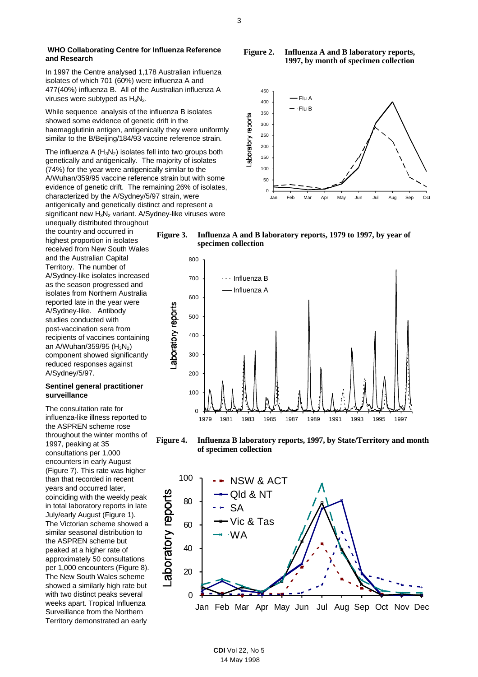In 1997 the Centre analysed 1,178 Australian influenza isolates of which 701 (60%) were influenza A and 477(40%) influenza B. All of the Australian influenza A viruses were subtyped as  $H_3N_2$ .

While sequence analysis of the influenza B isolates showed some evidence of genetic drift in the haemagglutinin antigen, antigenically they were uniformly similar to the B/Beijing/184/93 vaccine reference strain.

The influenza A  $(H_3N_2)$  isolates fell into two groups both genetically and antigenically. The majority of isolates (74%) for the year were antigenically similar to the A/Wuhan/359/95 vaccine reference strain but with some evidence of genetic drift. The remaining 26% of isolates, characterized by the A/Sydney/5/97 strain, were antigenically and genetically distinct and represent a significant new  $H_3N_2$  variant. A/Sydney-like viruses were

unequally distributed throughout the country and occurred in highest proportion in isolates received from New South Wales and the Australian Capital Territory. The number of A/Sydney-like isolates increased as the season progressed and isolates from Northern Australia reported late in the year were A/Sydney-like. Antibody studies conducted with post-vaccination sera from recipients of vaccines containing an A/Wuhan/359/95 ( $H_3N_2$ ) component showed significantly reduced responses against A/Sydney/5/97.

#### **Sentinel general practitioner surveillance**

The consultation rate for influenza-like illness reported to the ASPREN scheme rose throughout the winter months of 1997, peaking at 35 consultations per 1,000 encounters in early August (Figure 7). This rate was higher than that recorded in recent years and occurred later, coinciding with the weekly peak in total laboratory reports in late July/early August (Figure 1). The Victorian scheme showed a similar seasonal distribution to the ASPREN scheme but peaked at a higher rate of approximately 50 consultations per 1,000 encounters (Figure 8). The New South Wales scheme showed a similarly high rate but with two distinct peaks several weeks apart. Tropical Influenza Surveillance from the Northern Territory demonstrated an early

**Figure 2. Influenza A and B laboratory reports, 1997, by month of specimen collection** 







**Figure 4. Influenza B laboratory reports, 1997, by State/Territory and month of specimen collection**

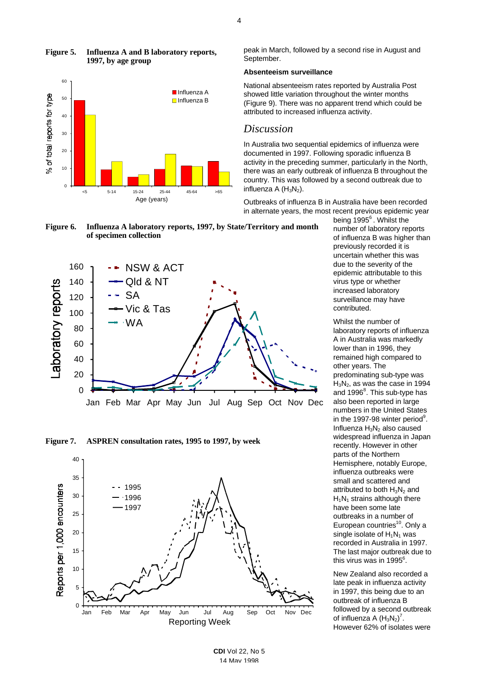

### **Figure 5. Influenza A and B laboratory reports, 1997, by age group**

peak in March, followed by a second rise in August and September.

#### **Absenteeism surveillance**

National absenteeism rates reported by Australia Post showed little variation throughout the winter months (Figure 9). There was no apparent trend which could be attributed to increased influenza activity.

## *Discussion*

In Australia two sequential epidemics of influenza were documented in 1997. Following sporadic influenza B activity in the preceding summer, particularly in the North, there was an early outbreak of influenza B throughout the country. This was followed by a second outbreak due to influenza A  $(H_3N_2)$ .

Outbreaks of influenza B in Australia have been recorded in alternate years, the most recent previous epidemic year









being 1995<sup>6</sup>. Whilst the number of laboratory reports of influenza B was higher than previously recorded it is uncertain whether this was due to the severity of the epidemic attributable to this virus type or whether increased laboratory surveillance may have contributed.

Whilst the number of laboratory reports of influenza A in Australia was markedly lower than in 1996, they remained high compared to other years. The predominating sub-type was H3N2, as was the case in 1994 and 1996<sup>8</sup>. This sub-type has also been reported in large numbers in the United States in the 1997-98 winter period<sup>9</sup>. Influenza  $H_3N_2$  also caused widespread influenza in Japan recently. However in other parts of the Northern Hemisphere, notably Europe, influenza outbreaks were small and scattered and attributed to both  $H_3N_2$  and  $H_1N_1$  strains although there have been some late outbreaks in a number of European countries<sup>10</sup>. Only a single isolate of  $H_1N_1$  was recorded in Australia in 1997. The last major outbreak due to this virus was in 1995 $^6$ .

New Zealand also recorded a late peak in influenza activity in 1997, this being due to an outbreak of influenza B followed by a second outbreak of influenza A  $(H_3N_2)^7$ . However 62% of isolates were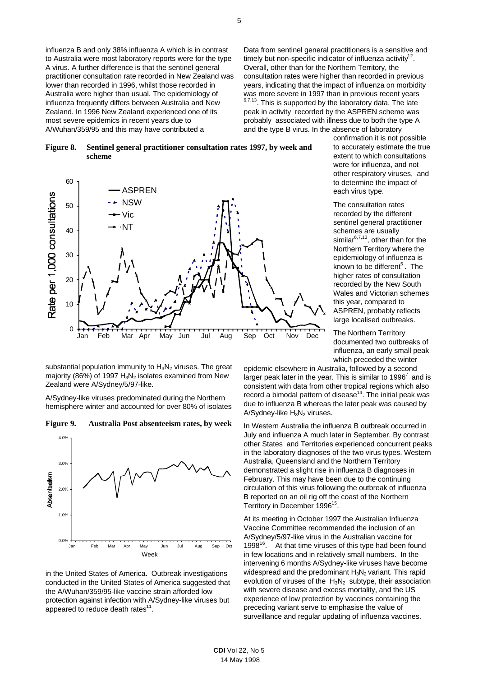influenza B and only 38% influenza A which is in contrast to Australia were most laboratory reports were for the type A virus. A further difference is that the sentinel general practitioner consultation rate recorded in New Zealand was lower than recorded in 1996, whilst those recorded in Australia were higher than usual. The epidemiology of influenza frequently differs between Australia and New Zealand. In 1996 New Zealand experienced one of its most severe epidemics in recent years due to A/Wuhan/359/95 and this may have contributed a

Data from sentinel general practitioners is a sensitive and timely but non-specific indicator of influenza activity<sup>12</sup>. Overall, other than for the Northern Territory, the consultation rates were higher than recorded in previous years, indicating that the impact of influenza on morbidity was more severe in 1997 than in previous recent years  $6,7,13$ . This is supported by the laboratory data. The late peak in activity recorded by the ASPREN scheme was probably associated with illness due to both the type A and the type B virus. In the absence of laboratory

#### **Figure 8. Sentinel general practitioner consultation rates 1997, by week and scheme**



substantial population immunity to  $H_3N_2$  viruses. The great majority (86%) of 1997  $H_3N_2$  isolates examined from New Zealand were A/Sydney/5/97-like.

A/Sydney-like viruses predominated during the Northern hemisphere winter and accounted for over 80% of isolates





in the United States of America. Outbreak investigations conducted in the United States of America suggested that the A/Wuhan/359/95-like vaccine strain afforded low protection against infection with A/Sydney-like viruses but appeared to reduce death rates $^{11}$ .

confirmation it is not possible to accurately estimate the true extent to which consultations were for influenza, and not other respiratory viruses, and to determine the impact of each virus type.

The consultation rates recorded by the different sentinel general practitioner schemes are usually similar<sup>6,7,13</sup>, other than for the Northern Territory where the epidemiology of influenza is known to be different<sup>5</sup>. The higher rates of consultation recorded by the New South Wales and Victorian schemes this year, compared to ASPREN, probably reflects large localised outbreaks.

The Northern Territory documented two outbreaks of influenza, an early small peak which preceded the winter

epidemic elsewhere in Australia, followed by a second larger peak later in the year. This is similar to 1996<sup>7</sup> and is consistent with data from other tropical regions which also record a bimodal pattern of disease<sup>14</sup>. The initial peak was due to influenza B whereas the later peak was caused by  $A/Sy$ dney-like  $H_3N_2$  viruses.

In Western Australia the influenza B outbreak occurred in July and influenza A much later in September. By contrast other States and Territories experienced concurrent peaks in the laboratory diagnoses of the two virus types. Western Australia, Queensland and the Northern Territory demonstrated a slight rise in influenza B diagnoses in February. This may have been due to the continuing circulation of this virus following the outbreak of influenza B reported on an oil rig off the coast of the Northern Territory in December 1996<sup>15</sup>.

At its meeting in October 1997 the Australian Influenza Vaccine Committee recommended the inclusion of an A/Sydney/5/97-like virus in the Australian vaccine for 1998 $16$ . At that time viruses of this type had been found in few locations and in relatively small numbers. In the intervening 6 months A/Sydney-like viruses have become widespread and the predominant  $H_3N_2$  variant. This rapid evolution of viruses of the  $H_3N_2$  subtype, their association with severe disease and excess mortality, and the US experience of low protection by vaccines containing the preceding variant serve to emphasise the value of surveillance and regular updating of influenza vaccines.